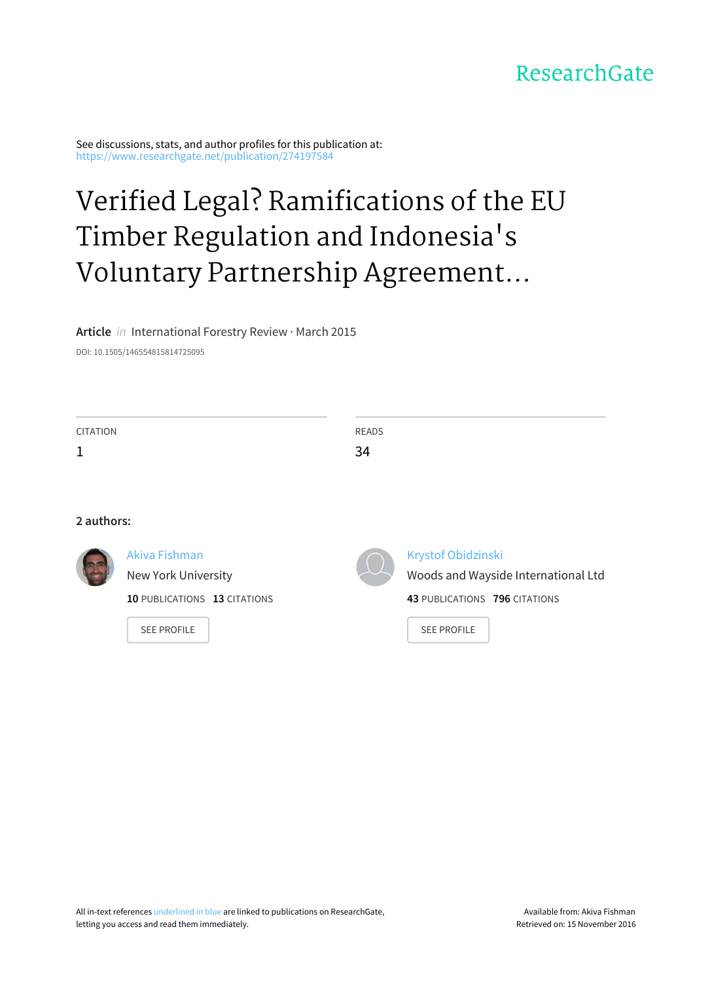### ResearchGate

See discussions, stats, and author profiles for this publication at: [https://www.researchgate.net/publication/274197584](https://www.researchgate.net/publication/274197584_Verified_Legal_Ramifications_of_the_EU_Timber_Regulation_and_Indonesia%27s_Voluntary_Partnership_Agreement_for_the_Legality_of_Indonesian_Timber?enrichId=rgreq-3b5d3e73665a265dd9613c1d9b9b3ac5-XXX&enrichSource=Y292ZXJQYWdlOzI3NDE5NzU4NDtBUzoyNTIzMDk1NjUzNDE2OThAMTQzNzE2NjY5NjM5OA%3D%3D&el=1_x_2)

# Verified Legal? Ramifications of the EU Timber Regulation and Indonesia's Voluntary Partnership Agreement...

**Article** in International Forestry Review · March 2015

DOI: 10.1505/146554815814725095

| <b>CITATION</b> |                              | <b>READS</b> |                                     |
|-----------------|------------------------------|--------------|-------------------------------------|
| 1               |                              | 34           |                                     |
|                 |                              |              |                                     |
| 2 authors:      |                              |              |                                     |
|                 | Akiva Fishman                |              | Krystof Obidzinski                  |
|                 | New York University          |              | Woods and Wayside International Ltd |
|                 | 10 PUBLICATIONS 13 CITATIONS |              | 43 PUBLICATIONS 796 CITATIONS       |
|                 | <b>SEE PROFILE</b>           |              | <b>SEE PROFILE</b>                  |
|                 |                              |              |                                     |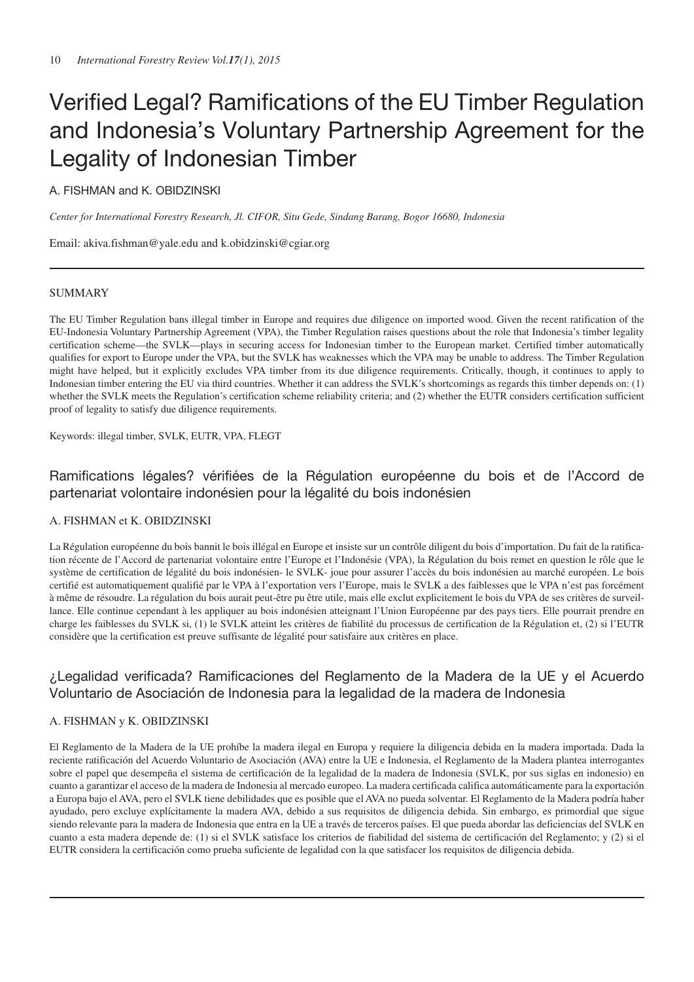## Verified Legal? Ramifications of the EU Timber Regulation and Indonesia's Voluntary Partnership Agreement for the Legality of Indonesian Timber

#### A. FISHMAN and K. OBIDZINSKI

*Center for International Forestry Research, Jl. CIFOR, Situ Gede, Sindang Barang, Bogor 16680, Indonesia*

Email: akiva.fishman@yale.edu and k.obidzinski@cgiar.org

#### SUMMARY

The EU Timber Regulation bans illegal timber in Europe and requires due diligence on imported wood. Given the recent ratification of the EU-Indonesia Voluntary Partnership Agreement (VPA), the Timber Regulation raises questions about the role that Indonesia's timber legality certification scheme—the SVLK—plays in securing access for Indonesian timber to the European market. Certified timber automatically qualifies for export to Europe under the VPA, but the SVLK has weaknesses which the VPA may be unable to address. The Timber Regulation might have helped, but it explicitly excludes VPA timber from its due diligence requirements. Critically, though, it continues to apply to Indonesian timber entering the EU via third countries. Whether it can address the SVLK's shortcomings as regards this timber depends on: (1) whether the SVLK meets the Regulation's certification scheme reliability criteria; and (2) whether the EUTR considers certification sufficient proof of legality to satisfy due diligence requirements.

Keywords: illegal timber, SVLK, EUTR, VPA, FLEGT

#### Ramifications légales? vérifiées de la Régulation européenne du bois et de l'Accord de partenariat volontaire indonésien pour la légalité du bois indonésien

#### A. FISHMAN et K. OBIDZINSKI

La Régulation européenne du bois bannit le bois illégal en Europe et insiste sur un contrôle diligent du bois d'importation. Du fait de la ratification récente de l'Accord de partenariat volontaire entre l'Europe et l'Indonésie (VPA), la Régulation du bois remet en question le rôle que le système de certification de légalité du bois indonésien- le SVLK- joue pour assurer l'accès du bois indonésien au marché européen. Le bois certifié est automatiquement qualifié par le VPA à l'exportation vers l'Europe, mais le SVLK a des faiblesses que le VPA n'est pas forcément à même de résoudre. La régulation du bois aurait peut-être pu être utile, mais elle exclut explicitement le bois du VPA de ses critères de surveillance. Elle continue cependant à les appliquer au bois indonésien atteignant l'Union Européenne par des pays tiers. Elle pourrait prendre en charge les faiblesses du SVLK si, (1) le SVLK atteint les critères de fiabilité du processus de certification de la Régulation et, (2) si l'EUTR considère que la certification est preuve suffisante de légalité pour satisfaire aux critères en place.

#### ¿Legalidad verificada? Ramificaciones del Reglamento de la Madera de la UE y el Acuerdo Voluntario de Asociación de Indonesia para la legalidad de la madera de Indonesia

#### A. FISHMAN y K. OBIDZINSKI

El Reglamento de la Madera de la UE prohíbe la madera ilegal en Europa y requiere la diligencia debida en la madera importada. Dada la reciente ratificación del Acuerdo Voluntario de Asociación (AVA) entre la UE e Indonesia, el Reglamento de la Madera plantea interrogantes sobre el papel que desempeña el sistema de certificación de la legalidad de la madera de Indonesia (SVLK, por sus siglas en indonesio) en cuanto a garantizar el acceso de la madera de Indonesia al mercado europeo. La madera certificada califica automáticamente para la exportación a Europa bajo el AVA, pero el SVLK tiene debilidades que es posible que el AVA no pueda solventar. El Reglamento de la Madera podría haber ayudado, pero excluye explícitamente la madera AVA, debido a sus requisitos de diligencia debida. Sin embargo, es primordial que sigue siendo relevante para la madera de Indonesia que entra en la UE a través de terceros países. El que pueda abordar las deficiencias del SVLK en cuanto a esta madera depende de: (1) si el SVLK satisface los criterios de fiabilidad del sistema de certificación del Reglamento; y (2) si el EUTR considera la certificación como prueba suficiente de legalidad con la que satisfacer los requisitos de diligencia debida.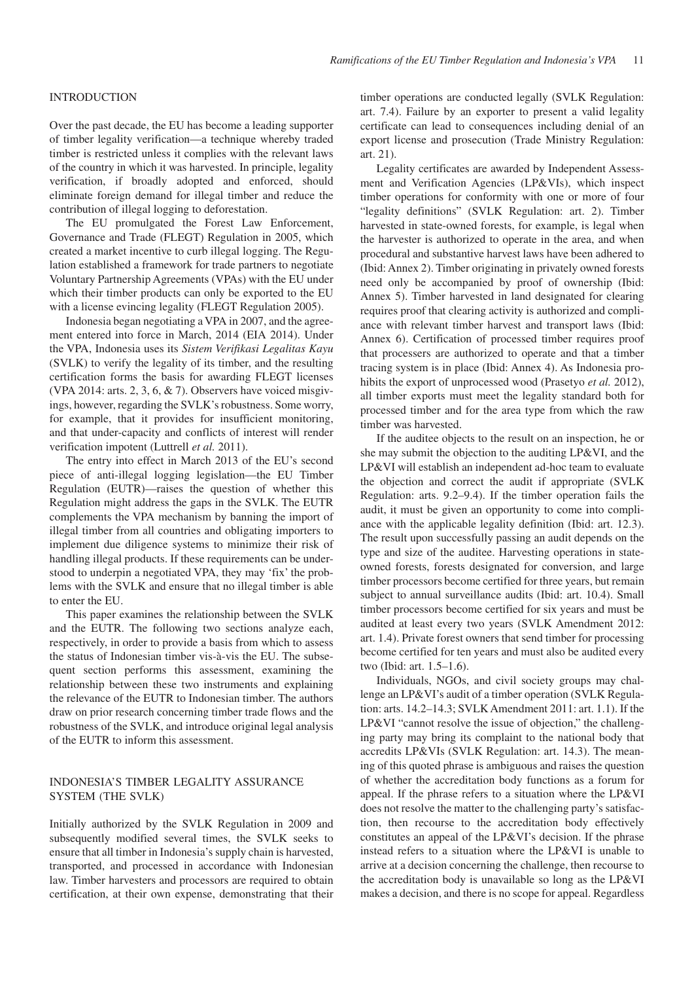#### **INTRODUCTION**

Over the past decade, the EU has become a leading supporter of timber legality verification—a technique whereby traded timber is restricted unless it complies with the relevant laws of the country in which it was harvested. In principle, legality verification, if broadly adopted and enforced, should eliminate foreign demand for illegal timber and reduce the contribution of illegal logging to deforestation.

The EU promulgated the Forest Law Enforcement, Governance and Trade (FLEGT) Regulation in 2005, which created a market incentive to curb illegal logging. The Regulation established a framework for trade partners to negotiate Voluntary Partnership Agreements (VPAs) with the EU under which their timber products can only be exported to the EU with a license evincing legality (FLEGT Regulation 2005).

Indonesia began negotiating a VPA in 2007, and the agreement entered into force in March, 2014 (EIA 2014). Under the VPA, Indonesia uses its *Sistem Verifikasi Legalitas Kayu* (SVLK) to verify the legality of its timber, and the resulting certification forms the basis for awarding FLEGT licenses (VPA 2014: arts. 2, 3, 6, & 7). Observers have voiced misgivings, however, regarding the SVLK's robustness. Some worry, for example, that it provides for insufficient monitoring, and that under-capacity and conflicts of interest will render verification impotent (Luttrell *et al.* 2011).

The entry into effect in March 2013 of the EU's second piece of anti-illegal logging legislation—the EU Timber Regulation (EUTR)—raises the question of whether this Regulation might address the gaps in the SVLK. The EUTR complements the VPA mechanism by banning the import of illegal timber from all countries and obligating importers to implement due diligence systems to minimize their risk of handling illegal products. If these requirements can be understood to underpin a negotiated VPA, they may 'fix' the problems with the SVLK and ensure that no illegal timber is able to enter the EU.

This paper examines the relationship between the SVLK and the EUTR. The following two sections analyze each, respectively, in order to provide a basis from which to assess the status of Indonesian timber vis-à-vis the EU. The subsequent section performs this assessment, examining the relationship between these two instruments and explaining the relevance of the EUTR to Indonesian timber. The authors draw on prior research concerning timber trade flows and the robustness of the SVLK, and introduce original legal analysis of the EUTR to inform this assessment.

#### INDONESIA'S TIMBER LEGALITY ASSURANCE SYSTEM (THE SVLK)

Initially authorized by the SVLK Regulation in 2009 and subsequently modified several times, the SVLK seeks to ensure that all timber in Indonesia's supply chain is harvested, transported, and processed in accordance with Indonesian law. Timber harvesters and processors are required to obtain certification, at their own expense, demonstrating that their timber operations are conducted legally (SVLK Regulation: art. 7.4). Failure by an exporter to present a valid legality certificate can lead to consequences including denial of an export license and prosecution (Trade Ministry Regulation: art. 21).

Legality certificates are awarded by Independent Assessment and Verification Agencies (LP&VIs), which inspect timber operations for conformity with one or more of four "legality definitions" (SVLK Regulation: art. 2). Timber harvested in state-owned forests, for example, is legal when the harvester is authorized to operate in the area, and when procedural and substantive harvest laws have been adhered to (Ibid: Annex 2). Timber originating in privately owned forests need only be accompanied by proof of ownership (Ibid: Annex 5). Timber harvested in land designated for clearing requires proof that clearing activity is authorized and compliance with relevant timber harvest and transport laws (Ibid: Annex 6). Certification of processed timber requires proof that processers are authorized to operate and that a timber tracing system is in place (Ibid: Annex 4). As Indonesia prohibits the export of unprocessed wood (Prasetyo *et al.* 2012), all timber exports must meet the legality standard both for processed timber and for the area type from which the raw timber was harvested.

If the auditee objects to the result on an inspection, he or she may submit the objection to the auditing LP&VI, and the LP&VI will establish an independent ad-hoc team to evaluate the objection and correct the audit if appropriate (SVLK Regulation: arts. 9.2–9.4). If the timber operation fails the audit, it must be given an opportunity to come into compliance with the applicable legality definition (Ibid: art. 12.3). The result upon successfully passing an audit depends on the type and size of the auditee. Harvesting operations in stateowned forests, forests designated for conversion, and large timber processors become certified for three years, but remain subject to annual surveillance audits (Ibid: art. 10.4). Small timber processors become certified for six years and must be audited at least every two years (SVLK Amendment 2012: art. 1.4). Private forest owners that send timber for processing become certified for ten years and must also be audited every two (Ibid: art. 1.5–1.6).

Individuals, NGOs, and civil society groups may challenge an LP&VI's audit of a timber operation (SVLK Regulation: arts. 14.2–14.3; SVLK Amendment 2011: art. 1.1). If the LP&VI "cannot resolve the issue of objection," the challenging party may bring its complaint to the national body that accredits LP&VIs (SVLK Regulation: art. 14.3). The meaning of this quoted phrase is ambiguous and raises the question of whether the accreditation body functions as a forum for appeal. If the phrase refers to a situation where the LP&VI does not resolve the matter to the challenging party's satisfaction, then recourse to the accreditation body effectively constitutes an appeal of the LP&VI's decision. If the phrase instead refers to a situation where the LP&VI is unable to arrive at a decision concerning the challenge, then recourse to the accreditation body is unavailable so long as the LP&VI makes a decision, and there is no scope for appeal. Regardless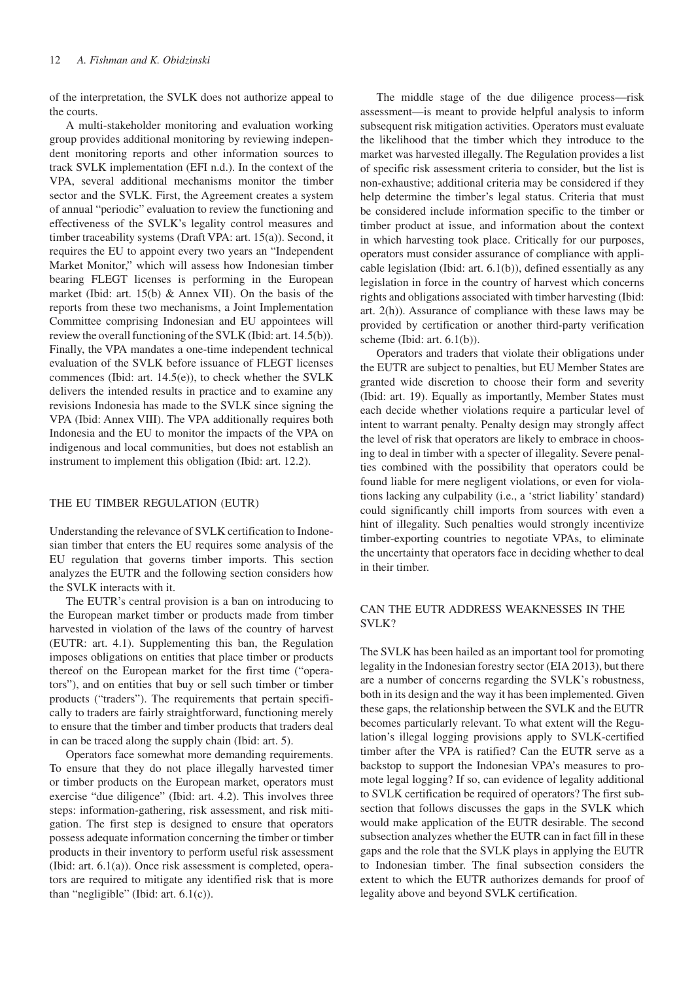of the interpretation, the SVLK does not authorize appeal to the courts.

A multi-stakeholder monitoring and evaluation working group provides additional monitoring by reviewing independent monitoring reports and other information sources to track SVLK implementation (EFI n.d.). In the context of the VPA, several additional mechanisms monitor the timber sector and the SVLK. First, the Agreement creates a system of annual "periodic" evaluation to review the functioning and effectiveness of the SVLK's legality control measures and timber traceability systems (Draft VPA: art. 15(a)). Second, it requires the EU to appoint every two years an "Independent Market Monitor," which will assess how Indonesian timber bearing FLEGT licenses is performing in the European market (Ibid: art. 15(b) & Annex VII). On the basis of the reports from these two mechanisms, a Joint Implementation Committee comprising Indonesian and EU appointees will review the overall functioning of the SVLK (Ibid: art. 14.5(b)). Finally, the VPA mandates a one-time independent technical evaluation of the SVLK before issuance of FLEGT licenses commences (Ibid: art. 14.5(e)), to check whether the SVLK delivers the intended results in practice and to examine any revisions Indonesia has made to the SVLK since signing the VPA (Ibid: Annex VIII). The VPA additionally requires both Indonesia and the EU to monitor the impacts of the VPA on indigenous and local communities, but does not establish an instrument to implement this obligation (Ibid: art. 12.2).

#### THE EU TIMBER REGULATION (EUTR)

Understanding the relevance of SVLK certification to Indonesian timber that enters the EU requires some analysis of the EU regulation that governs timber imports. This section analyzes the EUTR and the following section considers how the SVLK interacts with it.

The EUTR's central provision is a ban on introducing to the European market timber or products made from timber harvested in violation of the laws of the country of harvest (EUTR: art. 4.1). Supplementing this ban, the Regulation imposes obligations on entities that place timber or products thereof on the European market for the first time ("operators"), and on entities that buy or sell such timber or timber products ("traders"). The requirements that pertain specifically to traders are fairly straightforward, functioning merely to ensure that the timber and timber products that traders deal in can be traced along the supply chain (Ibid: art. 5).

Operators face somewhat more demanding requirements. To ensure that they do not place illegally harvested timer or timber products on the European market, operators must exercise "due diligence" (Ibid: art. 4.2). This involves three steps: information-gathering, risk assessment, and risk mitigation. The first step is designed to ensure that operators possess adequate information concerning the timber or timber products in their inventory to perform useful risk assessment (Ibid: art. 6.1(a)). Once risk assessment is completed, operators are required to mitigate any identified risk that is more than "negligible" (Ibid: art. 6.1(c)).

The middle stage of the due diligence process—risk assessment—is meant to provide helpful analysis to inform subsequent risk mitigation activities. Operators must evaluate the likelihood that the timber which they introduce to the market was harvested illegally. The Regulation provides a list of specific risk assessment criteria to consider, but the list is non-exhaustive; additional criteria may be considered if they help determine the timber's legal status. Criteria that must be considered include information specific to the timber or timber product at issue, and information about the context in which harvesting took place. Critically for our purposes, operators must consider assurance of compliance with applicable legislation (Ibid: art. 6.1(b)), defined essentially as any legislation in force in the country of harvest which concerns rights and obligations associated with timber harvesting (Ibid: art. 2(h)). Assurance of compliance with these laws may be provided by certification or another third-party verification scheme (Ibid: art. 6.1(b)).

Operators and traders that violate their obligations under the EUTR are subject to penalties, but EU Member States are granted wide discretion to choose their form and severity (Ibid: art. 19). Equally as importantly, Member States must each decide whether violations require a particular level of intent to warrant penalty. Penalty design may strongly affect the level of risk that operators are likely to embrace in choosing to deal in timber with a specter of illegality. Severe penalties combined with the possibility that operators could be found liable for mere negligent violations, or even for violations lacking any culpability (i.e., a 'strict liability' standard) could significantly chill imports from sources with even a hint of illegality. Such penalties would strongly incentivize timber-exporting countries to negotiate VPAs, to eliminate the uncertainty that operators face in deciding whether to deal in their timber.

#### CAN THE EUTR ADDRESS WEAKNESSES IN THE SVLK?

The SVLK has been hailed as an important tool for promoting legality in the Indonesian forestry sector (EIA 2013), but there are a number of concerns regarding the SVLK's robustness, both in its design and the way it has been implemented. Given these gaps, the relationship between the SVLK and the EUTR becomes particularly relevant. To what extent will the Regulation's illegal logging provisions apply to SVLK-certified timber after the VPA is ratified? Can the EUTR serve as a backstop to support the Indonesian VPA's measures to promote legal logging? If so, can evidence of legality additional to SVLK certification be required of operators? The first subsection that follows discusses the gaps in the SVLK which would make application of the EUTR desirable. The second subsection analyzes whether the EUTR can in fact fill in these gaps and the role that the SVLK plays in applying the EUTR to Indonesian timber. The final subsection considers the extent to which the EUTR authorizes demands for proof of legality above and beyond SVLK certification.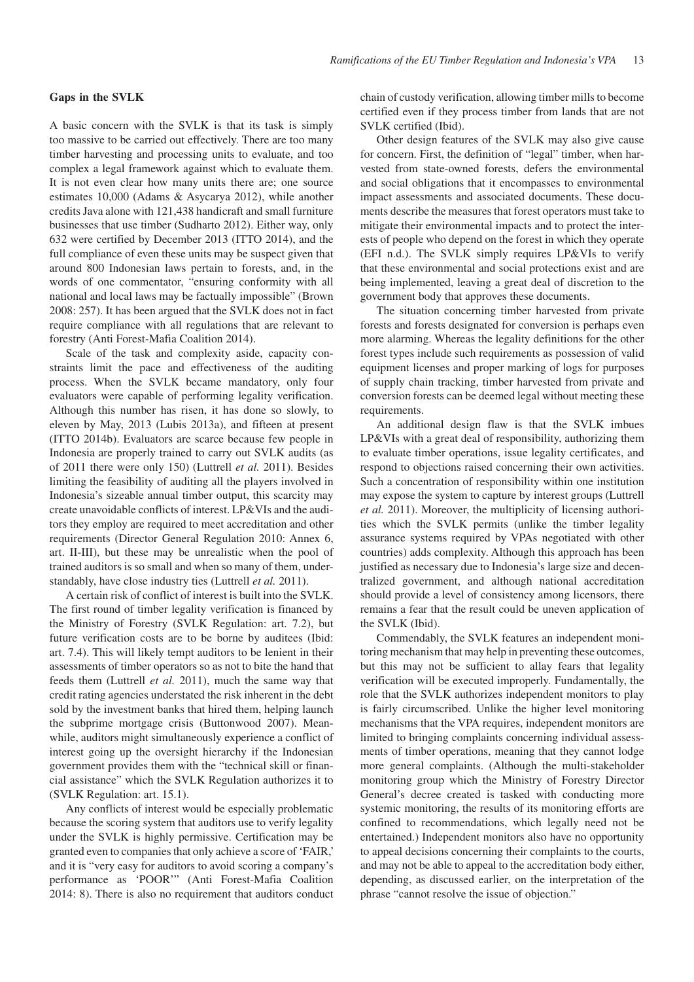#### **Gaps in the SVLK**

A basic concern with the SVLK is that its task is simply too massive to be carried out effectively. There are too many timber harvesting and processing units to evaluate, and too complex a legal framework against which to evaluate them. It is not even clear how many units there are; one source estimates 10,000 (Adams & Asycarya 2012), while another credits Java alone with 121,438 handicraft and small furniture businesses that use timber (Sudharto 2012). Either way, only 632 were certified by December 2013 (ITTO 2014), and the full compliance of even these units may be suspect given that around 800 Indonesian laws pertain to forests, and, in the words of one commentator, "ensuring conformity with all national and local laws may be factually impossible" (Brown 2008: 257). It has been argued that the SVLK does not in fact require compliance with all regulations that are relevant to forestry (Anti Forest-Mafia Coalition 2014).

Scale of the task and complexity aside, capacity constraints limit the pace and effectiveness of the auditing process. When the SVLK became mandatory, only four evaluators were capable of performing legality verification. Although this number has risen, it has done so slowly, to eleven by May, 2013 (Lubis 2013a), and fifteen at present (ITTO 2014b). Evaluators are scarce because few people in Indonesia are properly trained to carry out SVLK audits (as of 2011 there were only 150) (Luttrell *et al.* 2011). Besides limiting the feasibility of auditing all the players involved in Indonesia's sizeable annual timber output, this scarcity may create unavoidable conflicts of interest. LP&VIs and the auditors they employ are required to meet accreditation and other requirements (Director General Regulation 2010: Annex 6, art. II-III), but these may be unrealistic when the pool of trained auditors is so small and when so many of them, understandably, have close industry ties (Luttrell *et al.* 2011).

A certain risk of conflict of interest is built into the SVLK. The first round of timber legality verification is financed by the Ministry of Forestry (SVLK Regulation: art. 7.2), but future verification costs are to be borne by auditees (Ibid: art. 7.4). This will likely tempt auditors to be lenient in their assessments of timber operators so as not to bite the hand that feeds them (Luttrell *et al.* 2011), much the same way that credit rating agencies understated the risk inherent in the debt sold by the investment banks that hired them, helping launch the subprime mortgage crisis (Buttonwood 2007). Meanwhile, auditors might simultaneously experience a conflict of interest going up the oversight hierarchy if the Indonesian government provides them with the "technical skill or financial assistance" which the SVLK Regulation authorizes it to (SVLK Regulation: art. 15.1).

Any conflicts of interest would be especially problematic because the scoring system that auditors use to verify legality under the SVLK is highly permissive. Certification may be granted even to companies that only achieve a score of 'FAIR,' and it is "very easy for auditors to avoid scoring a company's performance as 'POOR'" (Anti Forest-Mafia Coalition 2014: 8). There is also no requirement that auditors conduct

chain of custody verification, allowing timber mills to become certified even if they process timber from lands that are not SVLK certified (Ibid).

Other design features of the SVLK may also give cause for concern. First, the definition of "legal" timber, when harvested from state-owned forests, defers the environmental and social obligations that it encompasses to environmental impact assessments and associated documents. These documents describe the measures that forest operators must take to mitigate their environmental impacts and to protect the interests of people who depend on the forest in which they operate (EFI n.d.). The SVLK simply requires LP&VIs to verify that these environmental and social protections exist and are being implemented, leaving a great deal of discretion to the government body that approves these documents.

The situation concerning timber harvested from private forests and forests designated for conversion is perhaps even more alarming. Whereas the legality definitions for the other forest types include such requirements as possession of valid equipment licenses and proper marking of logs for purposes of supply chain tracking, timber harvested from private and conversion forests can be deemed legal without meeting these requirements.

An additional design flaw is that the SVLK imbues LP&VIs with a great deal of responsibility, authorizing them to evaluate timber operations, issue legality certificates, and respond to objections raised concerning their own activities. Such a concentration of responsibility within one institution may expose the system to capture by interest groups (Luttrell *et al.* 2011). Moreover, the multiplicity of licensing authorities which the SVLK permits (unlike the timber legality assurance systems required by VPAs negotiated with other countries) adds complexity. Although this approach has been justified as necessary due to Indonesia's large size and decentralized government, and although national accreditation should provide a level of consistency among licensors, there remains a fear that the result could be uneven application of the SVLK (Ibid).

Commendably, the SVLK features an independent monitoring mechanism that may help in preventing these outcomes, but this may not be sufficient to allay fears that legality verification will be executed improperly. Fundamentally, the role that the SVLK authorizes independent monitors to play is fairly circumscribed. Unlike the higher level monitoring mechanisms that the VPA requires, independent monitors are limited to bringing complaints concerning individual assessments of timber operations, meaning that they cannot lodge more general complaints. (Although the multi-stakeholder monitoring group which the Ministry of Forestry Director General's decree created is tasked with conducting more systemic monitoring, the results of its monitoring efforts are confined to recommendations, which legally need not be entertained.) Independent monitors also have no opportunity to appeal decisions concerning their complaints to the courts, and may not be able to appeal to the accreditation body either, depending, as discussed earlier, on the interpretation of the phrase "cannot resolve the issue of objection."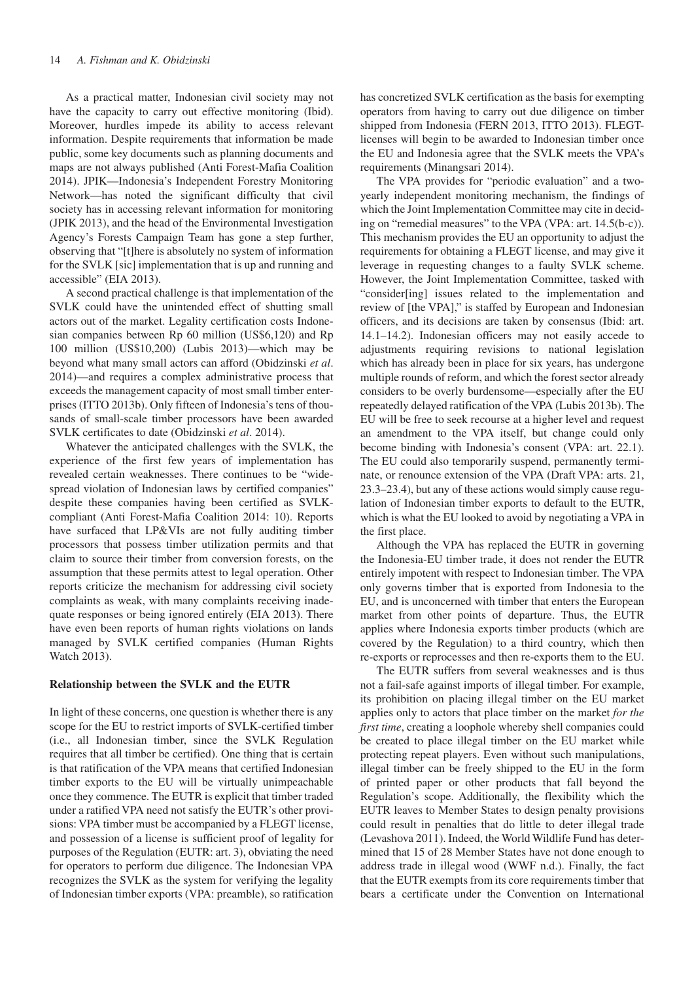As a practical matter, Indonesian civil society may not have the capacity to carry out effective monitoring (Ibid). Moreover, hurdles impede its ability to access relevant information. Despite requirements that information be made public, some key documents such as planning documents and maps are not always published (Anti Forest-Mafia Coalition 2014). JPIK—Indonesia's Independent Forestry Monitoring Network—has noted the significant difficulty that civil society has in accessing relevant information for monitoring (JPIK 2013), and the head of the Environmental Investigation Agency's Forests Campaign Team has gone a step further, observing that "[t]here is absolutely no system of information for the SVLK [sic] implementation that is up and running and accessible" (EIA 2013).

A second practical challenge is that implementation of the SVLK could have the unintended effect of shutting small actors out of the market. Legality certification costs Indonesian companies between Rp 60 million (US\$6,120) and Rp 100 million (US\$10,200) (Lubis 2013)—which may be beyond what many small actors can afford (Obidzinski *et al*. 2014)—and requires a complex administrative process that exceeds the management capacity of most small timber enterprises (ITTO 2013b). Only fifteen of Indonesia's tens of thousands of small-scale timber processors have been awarded SVLK certificates to date (Obidzinski *et al*. 2014).

Whatever the anticipated challenges with the SVLK, the experience of the first few years of implementation has revealed certain weaknesses. There continues to be "widespread violation of Indonesian laws by certified companies" despite these companies having been certified as SVLKcompliant (Anti Forest-Mafia Coalition 2014: 10). Reports have surfaced that LP&VIs are not fully auditing timber processors that possess timber utilization permits and that claim to source their timber from conversion forests, on the assumption that these permits attest to legal operation. Other reports criticize the mechanism for addressing civil society complaints as weak, with many complaints receiving inadequate responses or being ignored entirely (EIA 2013). There have even been reports of human rights violations on lands managed by SVLK certified companies (Human Rights Watch 2013).

#### **Relationship between the SVLK and the EUTR**

In light of these concerns, one question is whether there is any scope for the EU to restrict imports of SVLK-certified timber (i.e., all Indonesian timber, since the SVLK Regulation requires that all timber be certified). One thing that is certain is that ratification of the VPA means that certified Indonesian timber exports to the EU will be virtually unimpeachable once they commence. The EUTR is explicit that timber traded under a ratified VPA need not satisfy the EUTR's other provisions: VPA timber must be accompanied by a FLEGT license, and possession of a license is sufficient proof of legality for purposes of the Regulation (EUTR: art. 3), obviating the need for operators to perform due diligence. The Indonesian VPA recognizes the SVLK as the system for verifying the legality of Indonesian timber exports (VPA: preamble), so ratification has concretized SVLK certification as the basis for exempting operators from having to carry out due diligence on timber shipped from Indonesia (FERN 2013, ITTO 2013). FLEGTlicenses will begin to be awarded to Indonesian timber once the EU and Indonesia agree that the SVLK meets the VPA's requirements (Minangsari 2014).

The VPA provides for "periodic evaluation" and a twoyearly independent monitoring mechanism, the findings of which the Joint Implementation Committee may cite in deciding on "remedial measures" to the VPA (VPA: art. 14.5(b-c)). This mechanism provides the EU an opportunity to adjust the requirements for obtaining a FLEGT license, and may give it leverage in requesting changes to a faulty SVLK scheme. However, the Joint Implementation Committee, tasked with "consider[ing] issues related to the implementation and review of [the VPA]," is staffed by European and Indonesian officers, and its decisions are taken by consensus (Ibid: art. 14.1–14.2). Indonesian officers may not easily accede to adjustments requiring revisions to national legislation which has already been in place for six years, has undergone multiple rounds of reform, and which the forest sector already considers to be overly burdensome—especially after the EU repeatedly delayed ratification of the VPA (Lubis 2013b). The EU will be free to seek recourse at a higher level and request an amendment to the VPA itself, but change could only become binding with Indonesia's consent (VPA: art. 22.1). The EU could also temporarily suspend, permanently terminate, or renounce extension of the VPA (Draft VPA: arts. 21, 23.3–23.4), but any of these actions would simply cause regulation of Indonesian timber exports to default to the EUTR, which is what the EU looked to avoid by negotiating a VPA in the first place.

Although the VPA has replaced the EUTR in governing the Indonesia-EU timber trade, it does not render the EUTR entirely impotent with respect to Indonesian timber. The VPA only governs timber that is exported from Indonesia to the EU, and is unconcerned with timber that enters the European market from other points of departure. Thus, the EUTR applies where Indonesia exports timber products (which are covered by the Regulation) to a third country, which then re-exports or reprocesses and then re-exports them to the EU.

The EUTR suffers from several weaknesses and is thus not a fail-safe against imports of illegal timber. For example, its prohibition on placing illegal timber on the EU market applies only to actors that place timber on the market *for the first time*, creating a loophole whereby shell companies could be created to place illegal timber on the EU market while protecting repeat players. Even without such manipulations, illegal timber can be freely shipped to the EU in the form of printed paper or other products that fall beyond the Regulation's scope. Additionally, the flexibility which the EUTR leaves to Member States to design penalty provisions could result in penalties that do little to deter illegal trade (Levashova 2011). Indeed, the World Wildlife Fund has determined that 15 of 28 Member States have not done enough to address trade in illegal wood (WWF n.d.). Finally, the fact that the EUTR exempts from its core requirements timber that bears a certificate under the Convention on International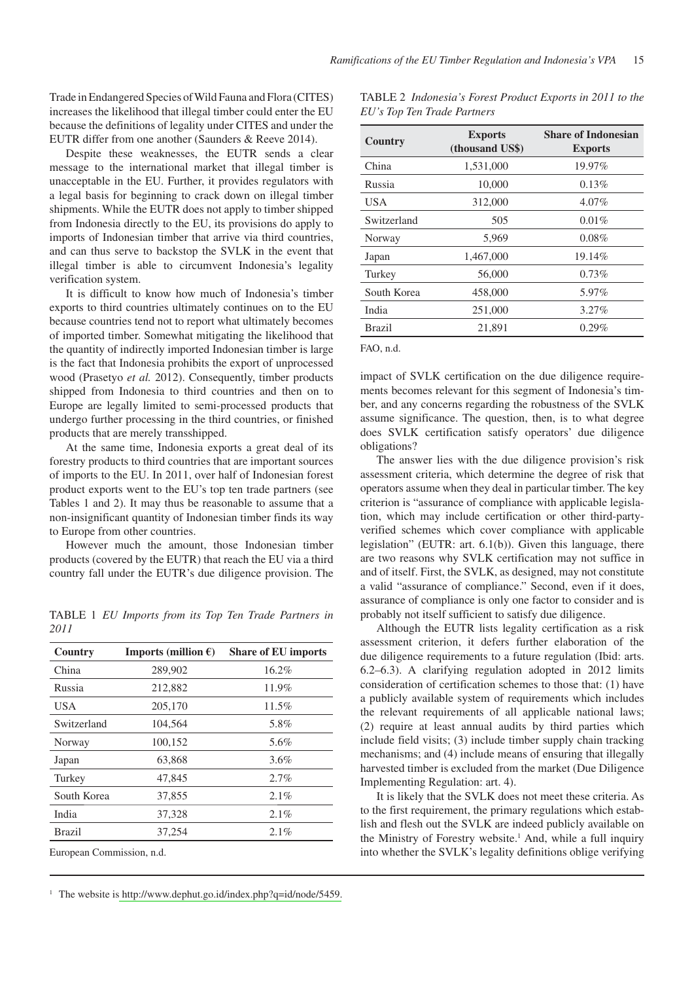Trade in Endangered Species of Wild Fauna and Flora (CITES) increases the likelihood that illegal timber could enter the EU because the definitions of legality under CITES and under the EUTR differ from one another (Saunders & Reeve 2014).

Despite these weaknesses, the EUTR sends a clear message to the international market that illegal timber is unacceptable in the EU. Further, it provides regulators with a legal basis for beginning to crack down on illegal timber shipments. While the EUTR does not apply to timber shipped from Indonesia directly to the EU, its provisions do apply to imports of Indonesian timber that arrive via third countries, and can thus serve to backstop the SVLK in the event that illegal timber is able to circumvent Indonesia's legality verification system.

It is difficult to know how much of Indonesia's timber exports to third countries ultimately continues on to the EU because countries tend not to report what ultimately becomes of imported timber. Somewhat mitigating the likelihood that the quantity of indirectly imported Indonesian timber is large is the fact that Indonesia prohibits the export of unprocessed wood (Prasetyo *et al.* 2012). Consequently, timber products shipped from Indonesia to third countries and then on to Europe are legally limited to semi-processed products that undergo further processing in the third countries, or finished products that are merely transshipped.

At the same time, Indonesia exports a great deal of its forestry products to third countries that are important sources of imports to the EU. In 2011, over half of Indonesian forest product exports went to the EU's top ten trade partners (see Tables 1 and 2). It may thus be reasonable to assume that a non-insignificant quantity of Indonesian timber finds its way to Europe from other countries.

However much the amount, those Indonesian timber products (covered by the EUTR) that reach the EU via a third country fall under the EUTR's due diligence provision. The

TABLE 1 *EU Imports from its Top Ten Trade Partners in 2011*

| Country       | Imports (million $\epsilon$ ) | <b>Share of EU imports</b> |  |  |
|---------------|-------------------------------|----------------------------|--|--|
| China         | 289,902                       | 16.2%                      |  |  |
| Russia        | 212,882                       | 11.9%                      |  |  |
| <b>USA</b>    | 205,170                       | $11.5\%$                   |  |  |
| Switzerland   | 104,564                       | 5.8%                       |  |  |
| Norway        | 100,152                       | 5.6%                       |  |  |
| Japan         | 63,868                        | 3.6%                       |  |  |
| Turkey        | 47,845                        | 2.7%                       |  |  |
| South Korea   | 37,855                        | $2.1\%$                    |  |  |
| India         | 37,328                        | 2.1%                       |  |  |
| <b>Brazil</b> | 37,254                        | $2.1\%$                    |  |  |

European Commission, n.d.

| TABLE 2 Indonesia's Forest Product Exports in 2011 to the |  |  |
|-----------------------------------------------------------|--|--|
| EU's Top Ten Trade Partners                               |  |  |

| <b>Country</b> | <b>Exports</b><br>(thousand US\$) | <b>Share of Indonesian</b><br><b>Exports</b> |  |
|----------------|-----------------------------------|----------------------------------------------|--|
| China          | 1,531,000                         | 19.97%                                       |  |
| Russia         | 10,000                            | 0.13%                                        |  |
| USA.           | 312,000                           | $4.07\%$                                     |  |
| Switzerland    | 505                               | 0.01%                                        |  |
| Norway         | 5,969                             | 0.08%                                        |  |
| Japan          | 1,467,000                         | 19.14%                                       |  |
| Turkey         | 56,000                            | 0.73%                                        |  |
| South Korea    | 458,000                           | 5.97%                                        |  |
| India          | 251,000                           | $3.27\%$                                     |  |
| <b>Brazil</b>  | 21,891                            | $0.29\%$                                     |  |

FAO, n.d.

impact of SVLK certification on the due diligence requirements becomes relevant for this segment of Indonesia's timber, and any concerns regarding the robustness of the SVLK assume significance. The question, then, is to what degree does SVLK certification satisfy operators' due diligence obligations?

The answer lies with the due diligence provision's risk assessment criteria, which determine the degree of risk that operators assume when they deal in particular timber. The key criterion is "assurance of compliance with applicable legislation, which may include certification or other third-partyverified schemes which cover compliance with applicable legislation" (EUTR: art. 6.1(b)). Given this language, there are two reasons why SVLK certification may not suffice in and of itself. First, the SVLK, as designed, may not constitute a valid "assurance of compliance." Second, even if it does, assurance of compliance is only one factor to consider and is probably not itself sufficient to satisfy due diligence.

Although the EUTR lists legality certification as a risk assessment criterion, it defers further elaboration of the due diligence requirements to a future regulation (Ibid: arts. 6.2–6.3). A clarifying regulation adopted in 2012 limits consideration of certification schemes to those that: (1) have a publicly available system of requirements which includes the relevant requirements of all applicable national laws; (2) require at least annual audits by third parties which include field visits; (3) include timber supply chain tracking mechanisms; and (4) include means of ensuring that illegally harvested timber is excluded from the market (Due Diligence Implementing Regulation: art. 4).

It is likely that the SVLK does not meet these criteria. As to the first requirement, the primary regulations which establish and flesh out the SVLK are indeed publicly available on the Ministry of Forestry website.<sup>1</sup> And, while a full inquiry into whether the SVLK's legality definitions oblige verifying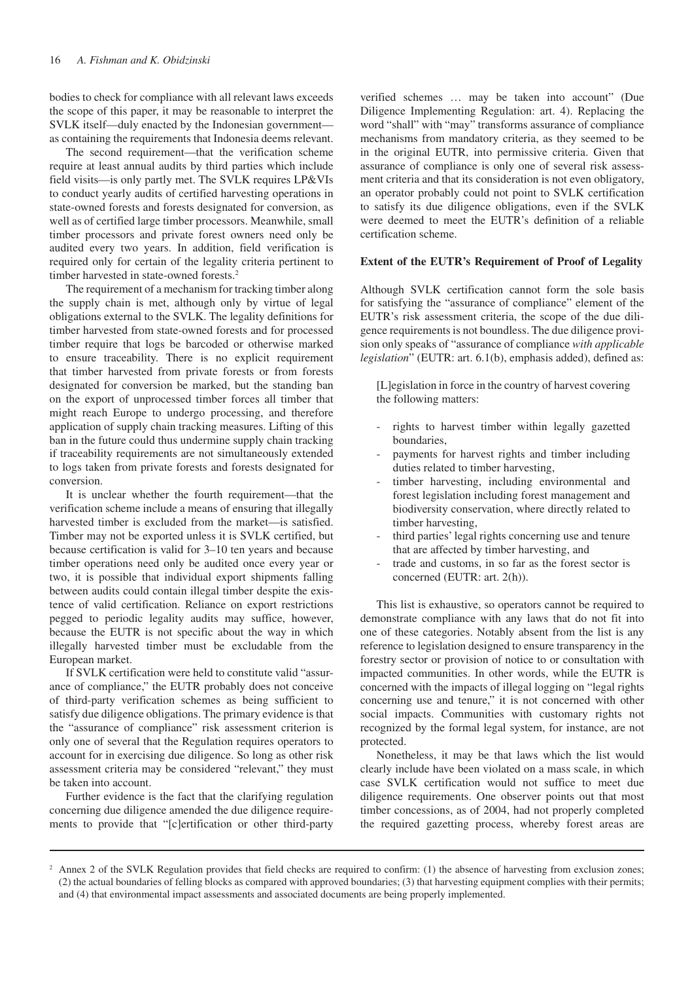bodies to check for compliance with all relevant laws exceeds the scope of this paper, it may be reasonable to interpret the SVLK itself—duly enacted by the Indonesian government as containing the requirements that Indonesia deems relevant.

The second requirement—that the verification scheme require at least annual audits by third parties which include field visits—is only partly met. The SVLK requires LP&VIs to conduct yearly audits of certified harvesting operations in state-owned forests and forests designated for conversion, as well as of certified large timber processors. Meanwhile, small timber processors and private forest owners need only be audited every two years. In addition, field verification is required only for certain of the legality criteria pertinent to timber harvested in state-owned forests.<sup>2</sup>

The requirement of a mechanism for tracking timber along the supply chain is met, although only by virtue of legal obligations external to the SVLK. The legality definitions for timber harvested from state-owned forests and for processed timber require that logs be barcoded or otherwise marked to ensure traceability. There is no explicit requirement that timber harvested from private forests or from forests designated for conversion be marked, but the standing ban on the export of unprocessed timber forces all timber that might reach Europe to undergo processing, and therefore application of supply chain tracking measures. Lifting of this ban in the future could thus undermine supply chain tracking if traceability requirements are not simultaneously extended to logs taken from private forests and forests designated for conversion.

It is unclear whether the fourth requirement—that the verification scheme include a means of ensuring that illegally harvested timber is excluded from the market—is satisfied. Timber may not be exported unless it is SVLK certified, but because certification is valid for 3–10 ten years and because timber operations need only be audited once every year or two, it is possible that individual export shipments falling between audits could contain illegal timber despite the existence of valid certification. Reliance on export restrictions pegged to periodic legality audits may suffice, however, because the EUTR is not specific about the way in which illegally harvested timber must be excludable from the European market.

If SVLK certification were held to constitute valid "assurance of compliance," the EUTR probably does not conceive of third-party verification schemes as being sufficient to satisfy due diligence obligations. The primary evidence is that the "assurance of compliance" risk assessment criterion is only one of several that the Regulation requires operators to account for in exercising due diligence. So long as other risk assessment criteria may be considered "relevant," they must be taken into account.

Further evidence is the fact that the clarifying regulation concerning due diligence amended the due diligence requirements to provide that "[c]ertification or other third-party verified schemes … may be taken into account" (Due Diligence Implementing Regulation: art. 4). Replacing the word "shall" with "may" transforms assurance of compliance mechanisms from mandatory criteria, as they seemed to be in the original EUTR, into permissive criteria. Given that assurance of compliance is only one of several risk assessment criteria and that its consideration is not even obligatory, an operator probably could not point to SVLK certification to satisfy its due diligence obligations, even if the SVLK were deemed to meet the EUTR's definition of a reliable certification scheme.

#### **Extent of the EUTR's Requirement of Proof of Legality**

Although SVLK certification cannot form the sole basis for satisfying the "assurance of compliance" element of the EUTR's risk assessment criteria, the scope of the due diligence requirements is not boundless. The due diligence provision only speaks of "assurance of compliance *with applicable legislation*" (EUTR: art. 6.1(b), emphasis added), defined as:

[L]egislation in force in the country of harvest covering the following matters:

- rights to harvest timber within legally gazetted boundaries,
- payments for harvest rights and timber including duties related to timber harvesting,
- timber harvesting, including environmental and forest legislation including forest management and biodiversity conservation, where directly related to timber harvesting,
- third parties' legal rights concerning use and tenure that are affected by timber harvesting, and
- trade and customs, in so far as the forest sector is concerned (EUTR: art. 2(h)).

This list is exhaustive, so operators cannot be required to demonstrate compliance with any laws that do not fit into one of these categories. Notably absent from the list is any reference to legislation designed to ensure transparency in the forestry sector or provision of notice to or consultation with impacted communities. In other words, while the EUTR is concerned with the impacts of illegal logging on "legal rights concerning use and tenure," it is not concerned with other social impacts. Communities with customary rights not recognized by the formal legal system, for instance, are not protected.

Nonetheless, it may be that laws which the list would clearly include have been violated on a mass scale, in which case SVLK certification would not suffice to meet due diligence requirements. One observer points out that most timber concessions, as of 2004, had not properly completed the required gazetting process, whereby forest areas are

<sup>&</sup>lt;sup>2</sup> Annex 2 of the SVLK Regulation provides that field checks are required to confirm: (1) the absence of harvesting from exclusion zones; (2) the actual boundaries of felling blocks as compared with approved boundaries; (3) that harvesting equipment complies with their permits; and (4) that environmental impact assessments and associated documents are being properly implemented.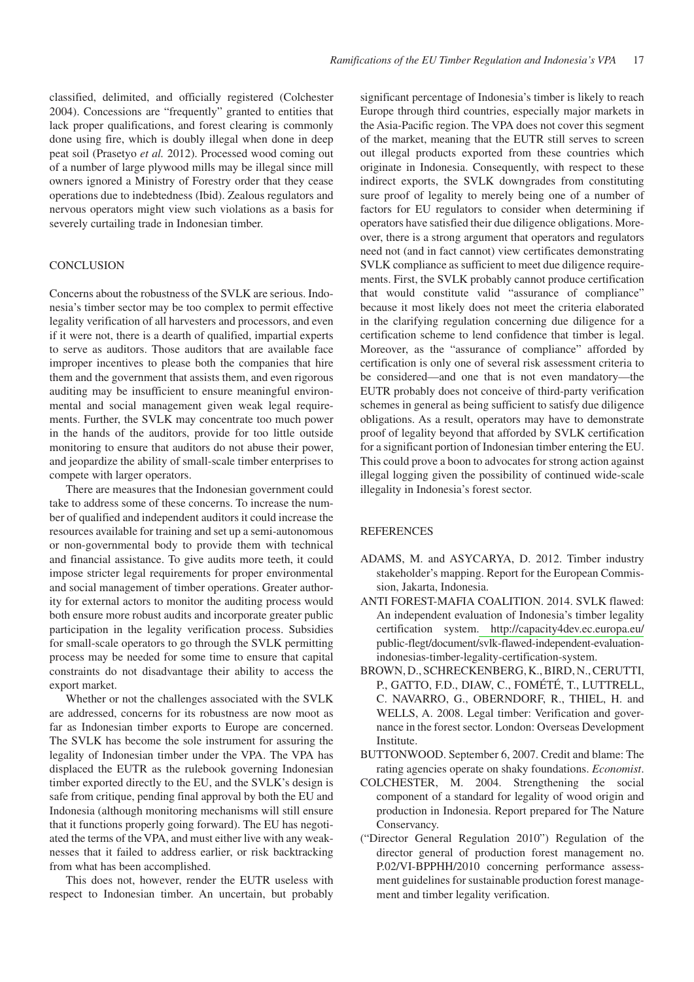classified, delimited, and officially registered (Colchester 2004). Concessions are "frequently" granted to entities that lack proper qualifications, and forest clearing is commonly done using fire, which is doubly illegal when done in deep peat soil (Prasetyo *et al.* 2012). Processed wood coming out of a number of large plywood mills may be illegal since mill owners ignored a Ministry of Forestry order that they cease operations due to indebtedness (Ibid). Zealous regulators and nervous operators might view such violations as a basis for severely curtailing trade in Indonesian timber.

#### **CONCLUSION**

Concerns about the robustness of the SVLK are serious. Indonesia's timber sector may be too complex to permit effective legality verification of all harvesters and processors, and even if it were not, there is a dearth of qualified, impartial experts to serve as auditors. Those auditors that are available face improper incentives to please both the companies that hire them and the government that assists them, and even rigorous auditing may be insufficient to ensure meaningful environmental and social management given weak legal requirements. Further, the SVLK may concentrate too much power in the hands of the auditors, provide for too little outside monitoring to ensure that auditors do not abuse their power, and jeopardize the ability of small-scale timber enterprises to compete with larger operators.

There are measures that the Indonesian government could take to address some of these concerns. To increase the number of qualified and independent auditors it could increase the resources available for training and set up a semi-autonomous or non-governmental body to provide them with technical and financial assistance. To give audits more teeth, it could impose stricter legal requirements for proper environmental and social management of timber operations. Greater authority for external actors to monitor the auditing process would both ensure more robust audits and incorporate greater public participation in the legality verification process. Subsidies for small-scale operators to go through the SVLK permitting process may be needed for some time to ensure that capital constraints do not disadvantage their ability to access the export market.

Whether or not the challenges associated with the SVLK are addressed, concerns for its robustness are now moot as far as Indonesian timber exports to Europe are concerned. The SVLK has become the sole instrument for assuring the legality of Indonesian timber under the VPA. The VPA has displaced the EUTR as the rulebook governing Indonesian timber exported directly to the EU, and the SVLK's design is safe from critique, pending final approval by both the EU and Indonesia (although monitoring mechanisms will still ensure that it functions properly going forward). The EU has negotiated the terms of the VPA, and must either live with any weaknesses that it failed to address earlier, or risk backtracking from what has been accomplished.

This does not, however, render the EUTR useless with respect to Indonesian timber. An uncertain, but probably significant percentage of Indonesia's timber is likely to reach Europe through third countries, especially major markets in the Asia-Pacific region. The VPA does not cover this segment of the market, meaning that the EUTR still serves to screen out illegal products exported from these countries which originate in Indonesia. Consequently, with respect to these indirect exports, the SVLK downgrades from constituting sure proof of legality to merely being one of a number of factors for EU regulators to consider when determining if operators have satisfied their due diligence obligations. Moreover, there is a strong argument that operators and regulators need not (and in fact cannot) view certificates demonstrating SVLK compliance as sufficient to meet due diligence requirements. First, the SVLK probably cannot produce certification that would constitute valid "assurance of compliance" because it most likely does not meet the criteria elaborated in the clarifying regulation concerning due diligence for a certification scheme to lend confidence that timber is legal. Moreover, as the "assurance of compliance" afforded by certification is only one of several risk assessment criteria to be considered—and one that is not even mandatory—the EUTR probably does not conceive of third-party verification schemes in general as being sufficient to satisfy due diligence obligations. As a result, operators may have to demonstrate proof of legality beyond that afforded by SVLK certification for a significant portion of Indonesian timber entering the EU. This could prove a boon to advocates for strong action against illegal logging given the possibility of continued wide-scale illegality in Indonesia's forest sector.

#### REFERENCES

- ADAMS, M. and ASYCARYA, D. 2012. Timber industry stakeholder's mapping. Report for the European Commission, Jakarta, Indonesia.
- ANTI FOREST-MAFIA COALITION. 2014. SVLK flawed: An independent evaluation of Indonesia's timber legality certification system[. http://capacity4dev.ec.europa.eu/](http://capacity4dev.ec.europa.eu/) public-flegt/document/svlk-flawed-independent-evaluationindonesias-timber-legality-certification-system.
- BROWN, D., SCHRECKENBERG, K., BIRD, N., CERUTTI, P., GATTO, F.D., DIAW, C., FOMÉTÉ, T., LUTTRELL, C. NAVARRO, G., OBERNDORF, R., THIEL, H. and WELLS, A. 2008. Legal timber: Verification and governance in the forest sector. London: Overseas Development Institute.
- BUTTONWOOD. September 6, 2007. Credit and blame: The rating agencies operate on shaky foundations. *Economist*.
- COLCHESTER, M. 2004. Strengthening the social component of a standard for legality of wood origin and production in Indonesia. Report prepared for The Nature Conservancy.
- ("Director General Regulation 2010") Regulation of the director general of production forest management no. P.02/VI-BPPHH/2010 concerning performance assessment guidelines for sustainable production forest management and timber legality verification.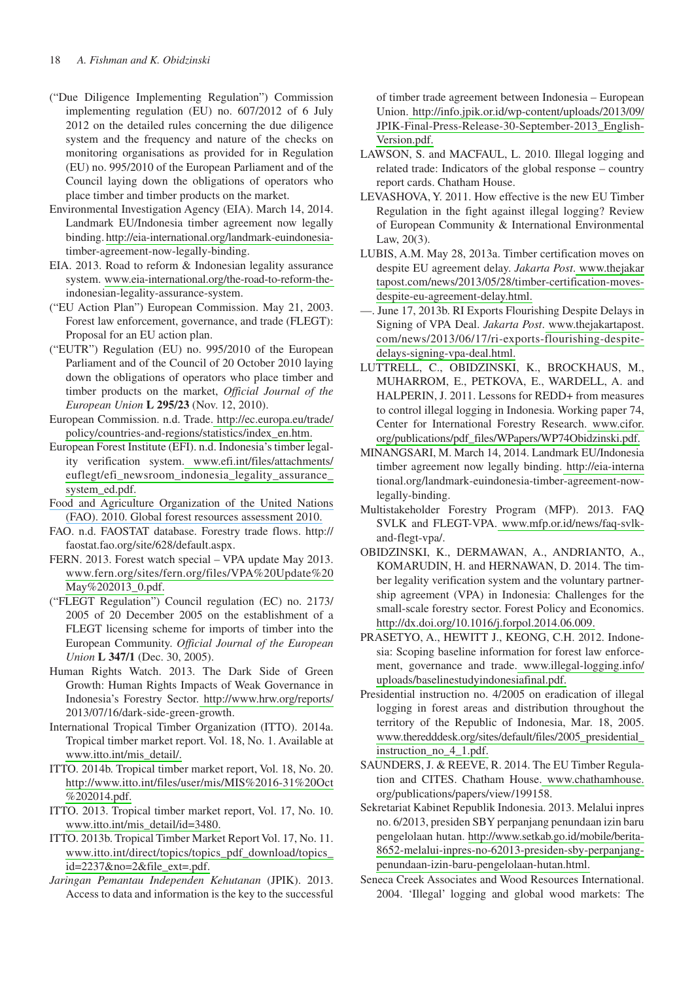- ("Due Diligence Implementing Regulation") Commission implementing regulation (EU) no. 607/2012 of 6 July 2012 on the detailed rules concerning the due diligence system and the frequency and nature of the checks on monitoring organisations as provided for in Regulation (EU) no. 995/2010 of the European Parliament and of the Council laying down the obligations of operators who place timber and timber products on the market.
- Environmental Investigation Agency (EIA). March 14, 2014. Landmark EU/Indonesia timber agreement now legally binding. [http://eia-international.org/landmark-euindonesia](http://eia-international.org/landmark-euindonesia-)timber-agreement-now-legally-binding.
- EIA. 2013. Road to reform & Indonesian legality assurance system. [www.eia-international.org/the-road-to-reform-the](http://www.eia-international.org/the-road-to-reform-the-)indonesian-legality-assurance-system.
- ("EU Action Plan") European Commission. May 21, 2003. Forest law enforcement, governance, and trade (FLEGT): Proposal for an EU action plan.
- ("EUTR") Regulation (EU) no. 995/2010 of the European Parliament and of the Council of 20 October 2010 laying down the obligations of operators who place timber and timber products on the market, *Official Journal of the European Union* **L 295/23** (Nov. 12, 2010).
- European Commission. n.d. Trade[. http://ec.europa.eu/trade/](http://ec.europa.eu/trade/policy/countries-and-regions/statistics/index_en.htm) [policy/countries-and-regions/statistics/index\\_en.htm.](http://ec.europa.eu/trade/policy/countries-and-regions/statistics/index_en.htm)
- European Forest Institute (EFI). n.d. Indonesia's timber legality verification system[. www.efi.int/files/attachments/](http://www.efi.int/files/attachments/euflegt/efi_newsroom_indonesia_legality_assurance_system_ed.pdf) [euflegt/efi\\_newsroom\\_indonesia\\_legality\\_assurance\\_](http://www.efi.int/files/attachments/euflegt/efi_newsroom_indonesia_legality_assurance_system_ed.pdf) [system\\_ed.pdf.](http://www.efi.int/files/attachments/euflegt/efi_newsroom_indonesia_legality_assurance_system_ed.pdf)
- [Food and Agriculture Organization of the United Nations](https://www.researchgate.net/publication/283091314_Global_Forest_Resources_Assessment_2005?el=1_x_8&enrichId=rgreq-3b5d3e73665a265dd9613c1d9b9b3ac5-XXX&enrichSource=Y292ZXJQYWdlOzI3NDE5NzU4NDtBUzoyNTIzMDk1NjUzNDE2OThAMTQzNzE2NjY5NjM5OA==) [\(FAO\). 2010. Global forest resources assessment 2010.](https://www.researchgate.net/publication/283091314_Global_Forest_Resources_Assessment_2005?el=1_x_8&enrichId=rgreq-3b5d3e73665a265dd9613c1d9b9b3ac5-XXX&enrichSource=Y292ZXJQYWdlOzI3NDE5NzU4NDtBUzoyNTIzMDk1NjUzNDE2OThAMTQzNzE2NjY5NjM5OA==)
- FAO. n.d. FAOSTAT database. Forestry trade flows. http:// faostat.fao.org/site/628/default.aspx.
- FERN. 2013. Forest watch special VPA update May 2013. [www.fern.org/sites/fern.org/files/VPA%20Update%20](http://www.fern.org/sites/fern.org/files/VPA%20Update%20May%202013_0.pdf) [May%202013\\_0.pdf.](http://www.fern.org/sites/fern.org/files/VPA%20Update%20May%202013_0.pdf)
- ("FLEGT Regulation") Council regulation (EC) no. 2173/ 2005 of 20 December 2005 on the establishment of a FLEGT licensing scheme for imports of timber into the European Community. *Official Journal of the European Union* **L 347/1** (Dec. 30, 2005).
- Human Rights Watch. 2013. The Dark Side of Green Growth: Human Rights Impacts of Weak Governance in Indonesia's Forestry Sector.<http://www.hrw.org/reports/> 2013/07/16/dark-side-green-growth.
- International Tropical Timber Organization (ITTO). 2014a. Tropical timber market report. Vol. 18, No. 1. Available at [www.itto.int/mis\\_detail/.](http://www.itto.int/mis_detail/)
- ITTO. 2014b. Tropical timber market report, Vol. 18, No. 20. [http://www.itto.int/files/user/mis/MIS%2016-31%20Oct](http://www.itto.int/files/user/mis/MIS%2016-31%20Oct%202014.pdf) [%202014.pdf.](http://www.itto.int/files/user/mis/MIS%2016-31%20Oct%202014.pdf)
- ITTO. 2013. Tropical timber market report, Vol. 17, No. 10. [www.itto.int/mis\\_detail/id=3480.](http://www.itto.int/mis_detail/id=3480)
- ITTO. 2013b. Tropical Timber Market Report Vol. 17, No. 11. [www.itto.int/direct/topics/topics\\_pdf\\_download/topics\\_](http://www.itto.int/direct/topics/topics_pdf_download/topics_id=2237&no=2&file_ext=.pdf) [id=2237&no=2&file\\_ext=.pdf.](http://www.itto.int/direct/topics/topics_pdf_download/topics_id=2237&no=2&file_ext=.pdf)
- *Jaringan Pemantau Independen Kehutanan* (JPIK). 2013. Access to data and information is the key to the successful

of timber trade agreement between Indonesia – European Union. [http://info.jpik.or.id/wp-content/uploads/2013/09/](http://info.jpik.or.id/wp-content/uploads/2013/09/JPIK-Final-Press-Release-30-September-2013_English-Version.pdf) [JPIK-Final-Press-Release-30-September-2013\\_English-](http://info.jpik.or.id/wp-content/uploads/2013/09/JPIK-Final-Press-Release-30-September-2013_English-Version.pdf)[Version.pdf.](http://info.jpik.or.id/wp-content/uploads/2013/09/JPIK-Final-Press-Release-30-September-2013_English-Version.pdf)

- LAWSON, S. and MACFAUL, L. 2010. Illegal logging and related trade: Indicators of the global response – country report cards. Chatham House.
- LEVASHOVA, Y. 2011. How effective is the new EU Timber Regulation in the fight against illegal logging? Review of European Community & International Environmental Law, 20(3).
- LUBIS, A.M. May 28, 2013a. Timber certification moves on despite EU agreement delay. *Jakarta Post*[. www.thejakar](http://www.thejakartapost.com/news/2013/05/28/timber-certification-moves-despite-eu-agreement-delay.html) [tapost.com/news/2013/05/28/timber-certification-moves](http://www.thejakartapost.com/news/2013/05/28/timber-certification-moves-despite-eu-agreement-delay.html)[despite-eu-agreement-delay.html.](http://www.thejakartapost.com/news/2013/05/28/timber-certification-moves-despite-eu-agreement-delay.html)
- ––. June 17, 2013b. RI Exports Flourishing Despite Delays in Signing of VPA Deal. *Jakarta Post*. [www.thejakartapost.](http://www.thejakartapost.com/news/2013/06/17/ri-exports-flourishing-despite-delays-signing-vpa-deal.html) [com/news/2013/06/17/ri-exports-flourishing-despite](http://www.thejakartapost.com/news/2013/06/17/ri-exports-flourishing-despite-delays-signing-vpa-deal.html)[delays-signing-vpa-deal.html.](http://www.thejakartapost.com/news/2013/06/17/ri-exports-flourishing-despite-delays-signing-vpa-deal.html)
- LUTTRELL, C., OBIDZINSKI, K., BROCKHAUS, M., MUHARROM, E., PETKOVA, E., WARDELL, A. and HALPERIN, J. 2011. Lessons for REDD+ from measures to control illegal logging in Indonesia. Working paper 74, Center for International Forestry Research. [www.cifor.](http://www.cifor.org/publications/pdf_files/WPapers/WP74Obidzinski.pdf) [org/publications/pdf\\_files/WPapers/WP74Obidzinski.pdf.](http://www.cifor.org/publications/pdf_files/WPapers/WP74Obidzinski.pdf)
- MINANGSARI, M. March 14, 2014. Landmark EU/Indonesia timber agreement now legally binding.<http://eia-interna> tional.org/landmark-euindonesia-timber-agreement-nowlegally-binding.
- Multistakeholder Forestry Program (MFP). 2013. FAQ SVLK and FLEGT-VPA. [www.mfp.or.id/news/faq-svlk](http://www.mfp.or.id/news/faq-svlk-)and-flegt-vpa/.
- OBIDZINSKI, K., DERMAWAN, A., ANDRIANTO, A., KOMARUDIN, H. and HERNAWAN, D. 2014. The timber legality verification system and the voluntary partnership agreement (VPA) in Indonesia: Challenges for the small-scale forestry sector. Forest Policy and Economics. [http://dx.doi.org/10.1016/j.forpol.2014.06.009.](http://dx.doi.org/10.1016/j.forpol.2014.06.009)
- PRASETYO, A., HEWITT J., KEONG, C.H. 2012. Indonesia: Scoping baseline information for forest law enforcement, governance and trade. [www.illegal-logging.info/](http://www.illegal-logging.info/uploads/baselinestudyindonesiafinal.pdf) [uploads/baselinestudyindonesiafinal.pdf.](http://www.illegal-logging.info/uploads/baselinestudyindonesiafinal.pdf)
- Presidential instruction no. 4/2005 on eradication of illegal logging in forest areas and distribution throughout the territory of the Republic of Indonesia, Mar. 18, 2005. [www.theredddesk.org/sites/default/files/2005\\_presidential\\_](http://www.theredddesk.org/sites/default/files/2005_presidential_instruction_no_4_1.pdf) [instruction\\_no\\_4\\_1.pdf.](http://www.theredddesk.org/sites/default/files/2005_presidential_instruction_no_4_1.pdf)
- SAUNDERS, J. & REEVE, R. 2014. The EU Timber Regulation and CITES. Chatham House[. www.chathamhouse.](http://www.chathamhouse) org/publications/papers/view/199158.
- Sekretariat Kabinet Republik Indonesia. 2013. Melalui inpres no. 6/2013, presiden SBY perpanjang penundaan izin baru pengelolaan hutan. [http://www.setkab.go.id/mobile/berita-](http://www.setkab.go.id/mobile/berita-8652-melalui-inpres-no-62013-presiden-sby-perpanjang-penundaan-izin-baru-pengelolaan-hutan.html)[8652-melalui-inpres-no-62013-presiden-sby-perpanjang](http://www.setkab.go.id/mobile/berita-8652-melalui-inpres-no-62013-presiden-sby-perpanjang-penundaan-izin-baru-pengelolaan-hutan.html)[penundaan-izin-baru-pengelolaan-hutan.html.](http://www.setkab.go.id/mobile/berita-8652-melalui-inpres-no-62013-presiden-sby-perpanjang-penundaan-izin-baru-pengelolaan-hutan.html)
- Seneca Creek Associates and Wood Resources International. 2004. 'Illegal' logging and global wood markets: The